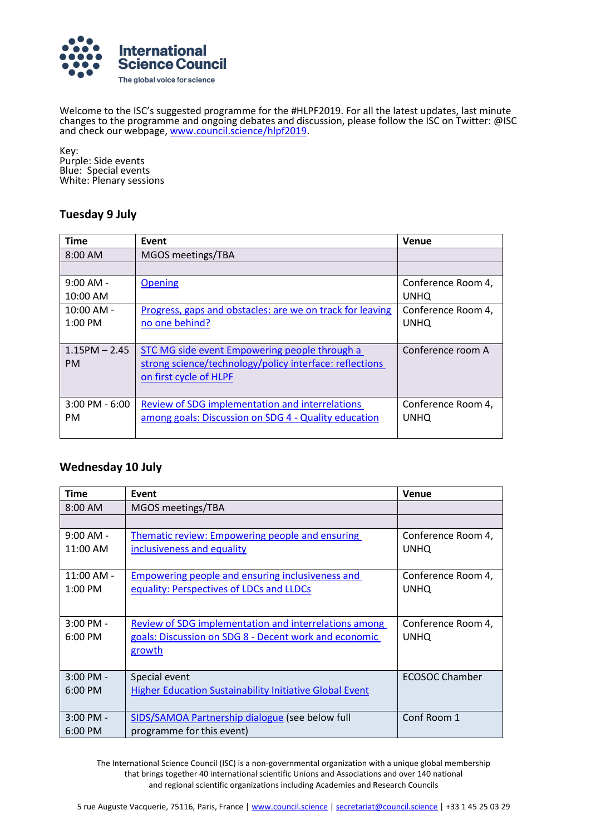

Welcome to the ISC's suggested programme for the #HLPF2019. For all the latest updates, last minute changes to the programme and ongoing debates and discussion, please follow the ISC on Twitter: @ISC and check our webpage, [www.council.science/hlpf2019.](http://www.council.science/hlpf2019)

Key: Purple: Side events Blue: Special events White: Plenary sessions

### **Tuesday 9 July**

| <b>Time</b>        | Event                                                     | <b>Venue</b>       |
|--------------------|-----------------------------------------------------------|--------------------|
| $8:00$ AM          | MGOS meetings/TBA                                         |                    |
|                    |                                                           |                    |
| $9:00$ AM -        | <b>Opening</b>                                            | Conference Room 4, |
| 10:00 AM           |                                                           | <b>UNHQ</b>        |
| $10:00$ AM -       | Progress, gaps and obstacles: are we on track for leaving | Conference Room 4, |
| $1:00$ PM          | no one behind?                                            | <b>UNHQ</b>        |
|                    |                                                           |                    |
| $1.15$ PM $- 2.45$ | STC MG side event Empowering people through a             | Conference room A  |
| <b>PM</b>          | strong science/technology/policy interface: reflections   |                    |
|                    | on first cycle of HLPF                                    |                    |
|                    |                                                           |                    |
| $3:00$ PM - $6:00$ | Review of SDG implementation and interrelations           | Conference Room 4, |
| <b>PM</b>          | among goals: Discussion on SDG 4 - Quality education      | <b>UNHQ</b>        |
|                    |                                                           |                    |

### **Wednesday 10 July**

| <b>Time</b>       | Event                                                          | Venue              |
|-------------------|----------------------------------------------------------------|--------------------|
| $8:00$ AM         | MGOS meetings/TBA                                              |                    |
|                   |                                                                |                    |
| $9:00$ AM -       | <b>Thematic review: Empowering people and ensuring</b>         | Conference Room 4, |
| 11:00 AM          | inclusiveness and equality                                     | <b>UNHQ</b>        |
|                   |                                                                |                    |
| $11:00$ AM -      | <b>Empowering people and ensuring inclusiveness and</b>        | Conference Room 4, |
| $1:00 \text{ PM}$ | equality: Perspectives of LDCs and LLDCs                       | <b>UNHQ</b>        |
|                   |                                                                |                    |
| $3:00$ PM -       | <b>Review of SDG implementation and interrelations among</b>   | Conference Room 4, |
| $6:00$ PM         | goals: Discussion on SDG 8 - Decent work and economic          | <b>UNHQ</b>        |
|                   | growth                                                         |                    |
|                   |                                                                |                    |
| $3:00$ PM -       | Special event                                                  | ECOSOC Chamber     |
| $6:00$ PM         | <b>Higher Education Sustainability Initiative Global Event</b> |                    |
|                   |                                                                |                    |
| $3:00$ PM -       | SIDS/SAMOA Partnership dialogue (see below full                | Conf Room 1        |
| $6:00$ PM         | programme for this event)                                      |                    |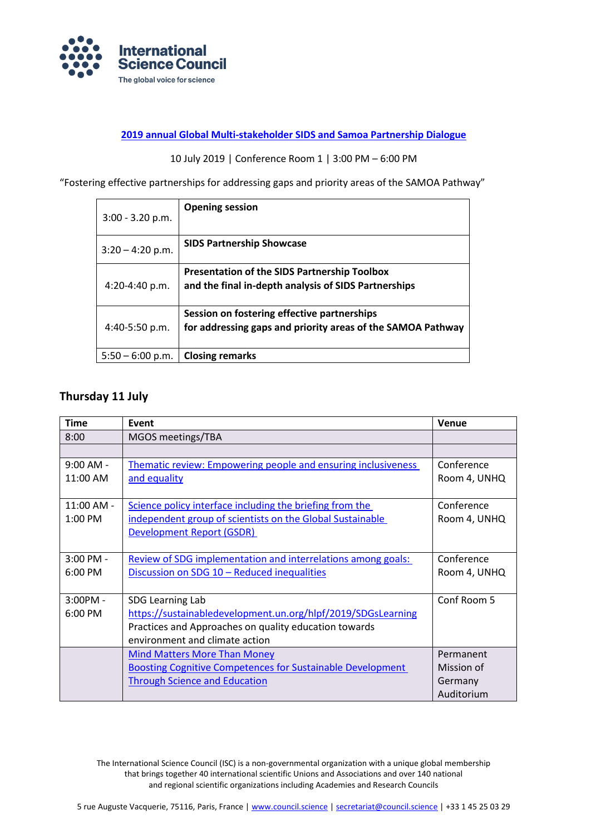

#### **[2019 annual Global Multi-stakeholder SIDS and Samoa Partnership Dialogue](https://sdg.iisd.org/events/2019-global-multi-stakeholder-sids-partnership-dialogue/)**

#### 10 July 2019 | Conference Room 1 | 3:00 PM – 6:00 PM

"Fostering effective partnerships for addressing gaps and priority areas of the SAMOA Pathway"

| $3:00 - 3.20$ p.m. | <b>Opening session</b>                                      |
|--------------------|-------------------------------------------------------------|
| $3:20 - 4:20$ p.m. | <b>SIDS Partnership Showcase</b>                            |
|                    | <b>Presentation of the SIDS Partnership Toolbox</b>         |
| 4:20-4:40 p.m.     | and the final in-depth analysis of SIDS Partnerships        |
|                    | Session on fostering effective partnerships                 |
| 4:40-5:50 p.m.     | for addressing gaps and priority areas of the SAMOA Pathway |
| $5:50 - 6:00$ p.m. | <b>Closing remarks</b>                                      |

# **Thursday 11 July**

| <b>Time</b> | Event                                                                | <b>Venue</b> |
|-------------|----------------------------------------------------------------------|--------------|
| 8:00        | MGOS meetings/TBA                                                    |              |
|             |                                                                      |              |
| $9:00$ AM - | <b>Thematic review: Empowering people and ensuring inclusiveness</b> | Conference   |
| 11:00 AM    | and equality                                                         | Room 4, UNHQ |
|             |                                                                      |              |
| 11:00 AM -  | Science policy interface including the briefing from the             | Conference   |
| 1:00 PM     | independent group of scientists on the Global Sustainable            | Room 4, UNHQ |
|             | <b>Development Report (GSDR)</b>                                     |              |
|             |                                                                      |              |
| 3:00 PM -   | Review of SDG implementation and interrelations among goals:         | Conference   |
| 6:00 PM     | Discussion on SDG 10 - Reduced inequalities                          | Room 4, UNHQ |
|             |                                                                      |              |
| $3:00PM -$  | SDG Learning Lab                                                     | Conf Room 5  |
| 6:00 PM     | https://sustainabledevelopment.un.org/hlpf/2019/SDGsLearning         |              |
|             | Practices and Approaches on quality education towards                |              |
|             | environment and climate action                                       |              |
|             | <b>Mind Matters More Than Money</b>                                  | Permanent    |
|             | <b>Boosting Cognitive Competences for Sustainable Development</b>    | Mission of   |
|             | <b>Through Science and Education</b>                                 | Germany      |
|             |                                                                      | Auditorium   |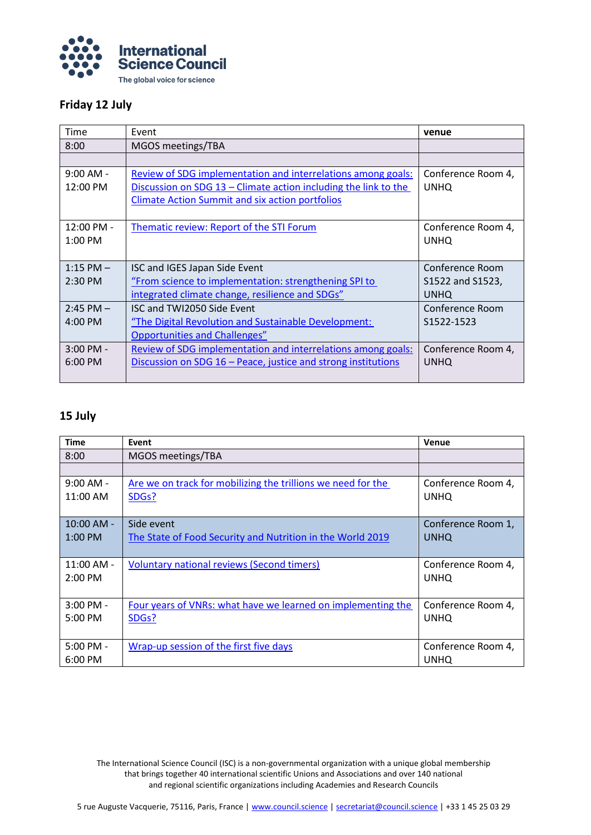

## **Friday 12 July**

| Time               | Event                                                             | venue              |
|--------------------|-------------------------------------------------------------------|--------------------|
| 8:00               | MGOS meetings/TBA                                                 |                    |
|                    |                                                                   |                    |
| $9:00$ AM -        | Review of SDG implementation and interrelations among goals:      | Conference Room 4, |
| $12:00 \text{ PM}$ | Discussion on SDG $13$ – Climate action including the link to the | <b>UNHQ</b>        |
|                    | <b>Climate Action Summit and six action portfolios</b>            |                    |
|                    |                                                                   |                    |
| 12:00 PM -         | Thematic review: Report of the STI Forum                          | Conference Room 4, |
| $1:00$ PM          |                                                                   | <b>UNHQ</b>        |
|                    |                                                                   |                    |
| $1:15$ PM $-$      | ISC and IGES Japan Side Event                                     | Conference Room    |
| $2:30$ PM          | "From science to implementation: strengthening SPI to             | S1522 and S1523,   |
|                    | integrated climate change, resilience and SDGs"                   | <b>UNHQ</b>        |
| $2:45$ PM $-$      | ISC and TWI2050 Side Event                                        | Conference Room    |
| $4:00 \text{ PM}$  | "The Digital Revolution and Sustainable Development:              | S1522-1523         |
|                    | <b>Opportunities and Challenges"</b>                              |                    |
| $3:00$ PM -        | Review of SDG implementation and interrelations among goals:      | Conference Room 4, |
| $6:00 \text{ PM}$  | Discussion on SDG 16 – Peace, justice and strong institutions     | <b>UNHQ</b>        |
|                    |                                                                   |                    |

# **15 July**

| <b>Time</b>                         | Event                                                                              | <b>Venue</b>                      |
|-------------------------------------|------------------------------------------------------------------------------------|-----------------------------------|
| 8:00                                | MGOS meetings/TBA                                                                  |                                   |
|                                     |                                                                                    |                                   |
| $9:00$ AM -<br>$11:00$ AM           | Are we on track for mobilizing the trillions we need for the<br>SDG <sub>s</sub> ? | Conference Room 4,<br><b>UNHQ</b> |
|                                     |                                                                                    |                                   |
| $10:00$ AM -<br>$1:00$ PM           | Side event<br>The State of Food Security and Nutrition in the World 2019           | Conference Room 1,<br><b>UNHQ</b> |
| $11:00$ AM -<br>$2:00 \, \text{PM}$ | <b>Voluntary national reviews (Second timers)</b>                                  | Conference Room 4,<br><b>UNHQ</b> |
| 3:00 PM -<br>$5:00$ PM              | Four years of VNRs: what have we learned on implementing the<br>SDGs?              | Conference Room 4,<br><b>UNHQ</b> |
| $5:00$ PM -<br>6:00 PM              | Wrap-up session of the first five days                                             | Conference Room 4,<br><b>UNHQ</b> |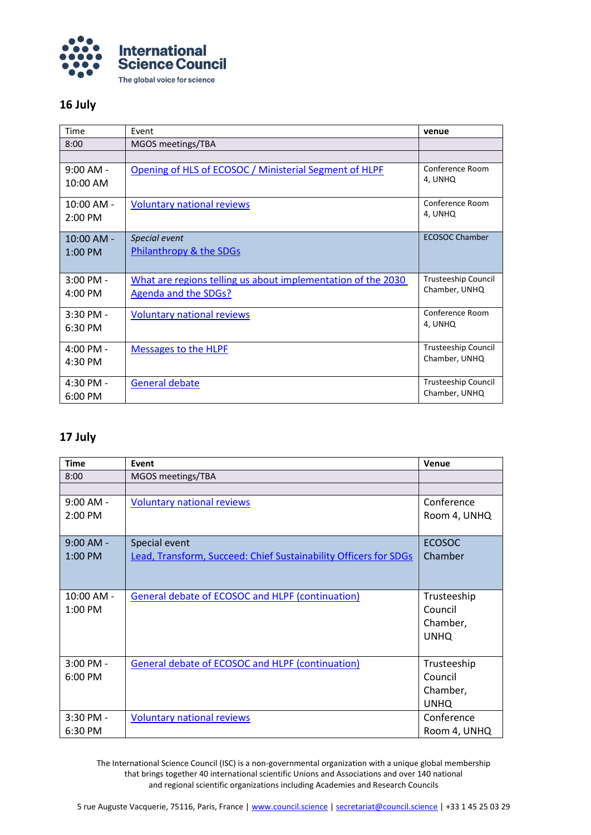

# **16 July**

| Time                      | Event                                                        | venue                      |
|---------------------------|--------------------------------------------------------------|----------------------------|
| 8:00                      | MGOS meetings/TBA                                            |                            |
|                           |                                                              |                            |
| $9:00$ AM -<br>10:00 AM   | Opening of HLS of ECOSOC / Ministerial Segment of HLPF       | Conference Room<br>4. UNHO |
|                           |                                                              |                            |
| $10:00$ AM -<br>$2:00$ PM | <b>Voluntary national reviews</b>                            | Conference Room<br>4, UNHQ |
|                           |                                                              |                            |
| $10:00$ AM -              | Special event                                                | <b>ECOSOC Chamber</b>      |
| $1:00$ PM                 | Philanthropy & the SDGs                                      |                            |
|                           |                                                              |                            |
| $3:00$ PM -               | What are regions telling us about implementation of the 2030 | <b>Trusteeship Council</b> |
| $4:00$ PM                 | <b>Agenda and the SDGs?</b>                                  | Chamber, UNHQ              |
| $3:30$ PM -               | <b>Voluntary national reviews</b>                            | Conference Room            |
| 6:30 PM                   |                                                              | 4, UNHQ                    |
| $4:00$ PM -               | <b>Messages to the HLPF</b>                                  | <b>Trusteeship Council</b> |
| 4:30 PM                   |                                                              | Chamber, UNHQ              |
| 4:30 PM -                 | General debate                                               | Trusteeship Council        |
| 6:00 PM                   |                                                              | Chamber, UNHQ              |

# **17 July**

| <b>Time</b> | Event                                                                   | <b>Venue</b>  |
|-------------|-------------------------------------------------------------------------|---------------|
| 8:00        | MGOS meetings/TBA                                                       |               |
|             |                                                                         |               |
| $9:00$ AM - | <b>Voluntary national reviews</b>                                       | Conference    |
| 2:00 PM     |                                                                         | Room 4, UNHQ  |
| $9:00$ AM - | Special event                                                           | <b>ECOSOC</b> |
| $1:00$ PM   | <b>Lead, Transform, Succeed: Chief Sustainability Officers for SDGs</b> | Chamber       |
|             |                                                                         |               |
| 10:00 AM -  | <b>General debate of ECOSOC and HLPF (continuation)</b>                 | Trusteeship   |
| 1:00 PM     |                                                                         | Council       |
|             |                                                                         | Chamber,      |
|             |                                                                         | <b>UNHQ</b>   |
| $3:00$ PM - | General debate of ECOSOC and HLPF (continuation)                        | Trusteeship   |
| 6:00 PM     |                                                                         | Council       |
|             |                                                                         | Chamber,      |
|             |                                                                         | <b>UNHQ</b>   |
| 3:30 PM -   | <b>Voluntary national reviews</b>                                       | Conference    |
| 6:30 PM     |                                                                         | Room 4, UNHQ  |